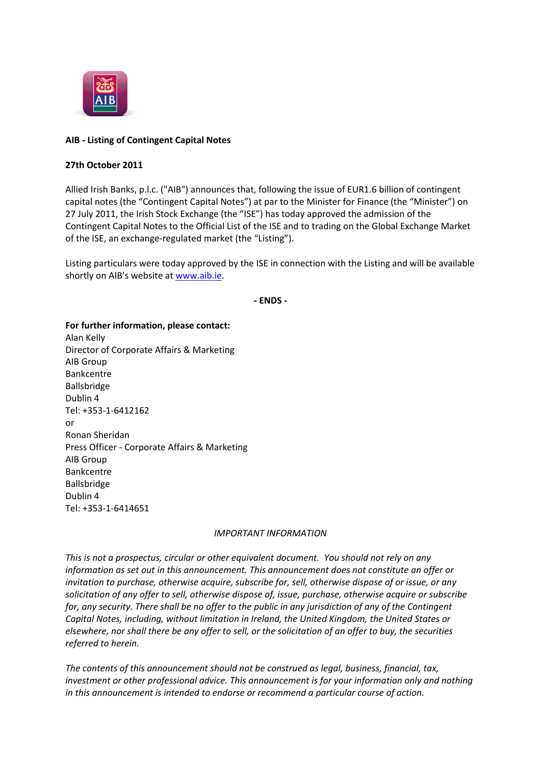

## **AIB - Listing of Contingent Capital Notes**

## **27th October 2011**

Allied Irish Banks, p.l.c. ("AIB") announces that, following the issue of EUR1.6 billion of contingent capital notes (the "Contingent Capital Notes") at par to the Minister for Finance (the "Minister") on 27 July 2011, the Irish Stock Exchange (the "ISE") has today approved the admission of the Contingent Capital Notes to the Official List of the ISE and to trading on the Global Exchange Market of the ISE, an exchange-regulated market (the "Listing").

Listing particulars were today approved by the ISE in connection with the Listing and will be available shortly on AIB's website at [www.aib.ie.](http://www.aib.ie/)

**- ENDS -**

**For further information, please contact:** Alan Kelly Director of Corporate Affairs & Marketing AIB Group Bankcentre Ballsbridge Dublin 4 Tel: +353-1-6412162 or Ronan Sheridan Press Officer - Corporate Affairs & Marketing AIB Group Bankcentre Ballsbridge Dublin 4 Tel: +353-1-6414651

## *IMPORTANT INFORMATION*

*This is not a prospectus, circular or other equivalent document. You should not rely on any information as set out in this announcement. This announcement does not constitute an offer or invitation to purchase, otherwise acquire, subscribe for, sell, otherwise dispose of or issue, or any solicitation of any offer to sell, otherwise dispose of, issue, purchase, otherwise acquire or subscribe for, any security. There shall be no offer to the public in any jurisdiction of any of the Contingent Capital Notes, including, without limitation in Ireland, the United Kingdom, the United States or elsewhere, nor shall there be any offer to sell, or the solicitation of an offer to buy, the securities referred to herein.*

*The contents of this announcement should not be construed as legal, business, financial, tax, investment or other professional advice. This announcement is for your information only and nothing in this announcement is intended to endorse or recommend a particular course of action.*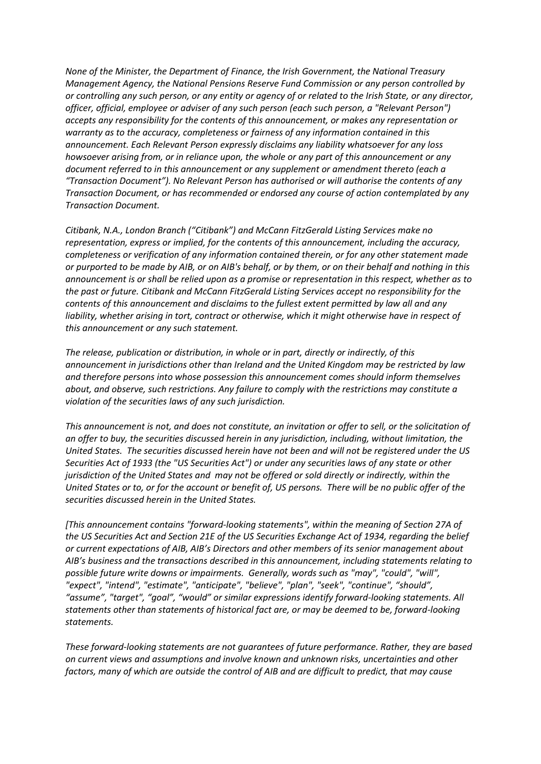*None of the Minister, the Department of Finance, the Irish Government, the National Treasury Management Agency, the National Pensions Reserve Fund Commission or any person controlled by or controlling any such person, or any entity or agency of or related to the Irish State, or any director, officer, official, employee or adviser of any such person (each such person, a "Relevant Person") accepts any responsibility for the contents of this announcement, or makes any representation or warranty as to the accuracy, completeness or fairness of any information contained in this announcement. Each Relevant Person expressly disclaims any liability whatsoever for any loss howsoever arising from, or in reliance upon, the whole or any part of this announcement or any document referred to in this announcement or any supplement or amendment thereto (each a "Transaction Document"). No Relevant Person has authorised or will authorise the contents of any Transaction Document, or has recommended or endorsed any course of action contemplated by any Transaction Document.*

*Citibank, N.A., London Branch ("Citibank") and McCann FitzGerald Listing Services make no representation, express or implied, for the contents of this announcement, including the accuracy, completeness or verification of any information contained therein, or for any other statement made or purported to be made by AIB, or on AIB's behalf, or by them, or on their behalf and nothing in this announcement is or shall be relied upon as a promise or representation in this respect, whether as to the past or future. Citibank and McCann FitzGerald Listing Services accept no responsibility for the contents of this announcement and disclaims to the fullest extent permitted by law all and any liability, whether arising in tort, contract or otherwise, which it might otherwise have in respect of this announcement or any such statement.*

*The release, publication or distribution, in whole or in part, directly or indirectly, of this announcement in jurisdictions other than Ireland and the United Kingdom may be restricted by law and therefore persons into whose possession this announcement comes should inform themselves about, and observe, such restrictions. Any failure to comply with the restrictions may constitute a violation of the securities laws of any such jurisdiction.*

*This announcement is not, and does not constitute, an invitation or offer to sell, or the solicitation of an offer to buy, the securities discussed herein in any jurisdiction, including, without limitation, the United States. The securities discussed herein have not been and will not be registered under the US Securities Act of 1933 (the "US Securities Act") or under any securities laws of any state or other jurisdiction of the United States and may not be offered or sold directly or indirectly, within the United States or to, or for the account or benefit of, US persons. There will be no public offer of the securities discussed herein in the United States.*

*[This announcement contains "forward-looking statements", within the meaning of Section 27A of the US Securities Act and Section 21E of the US Securities Exchange Act of 1934, regarding the belief or current expectations of AIB, AIB's Directors and other members of its senior management about AIB's business and the transactions described in this announcement, including statements relating to possible future write downs or impairments. Generally, words such as "may", "could", "will", "expect", "intend", "estimate", "anticipate", "believe", "plan", "seek", "continue", "should", "assume", "target", "goal", "would" or similar expressions identify forward-looking statements. All statements other than statements of historical fact are, or may be deemed to be, forward-looking statements.*

*These forward-looking statements are not guarantees of future performance. Rather, they are based on current views and assumptions and involve known and unknown risks, uncertainties and other factors, many of which are outside the control of AIB and are difficult to predict, that may cause*